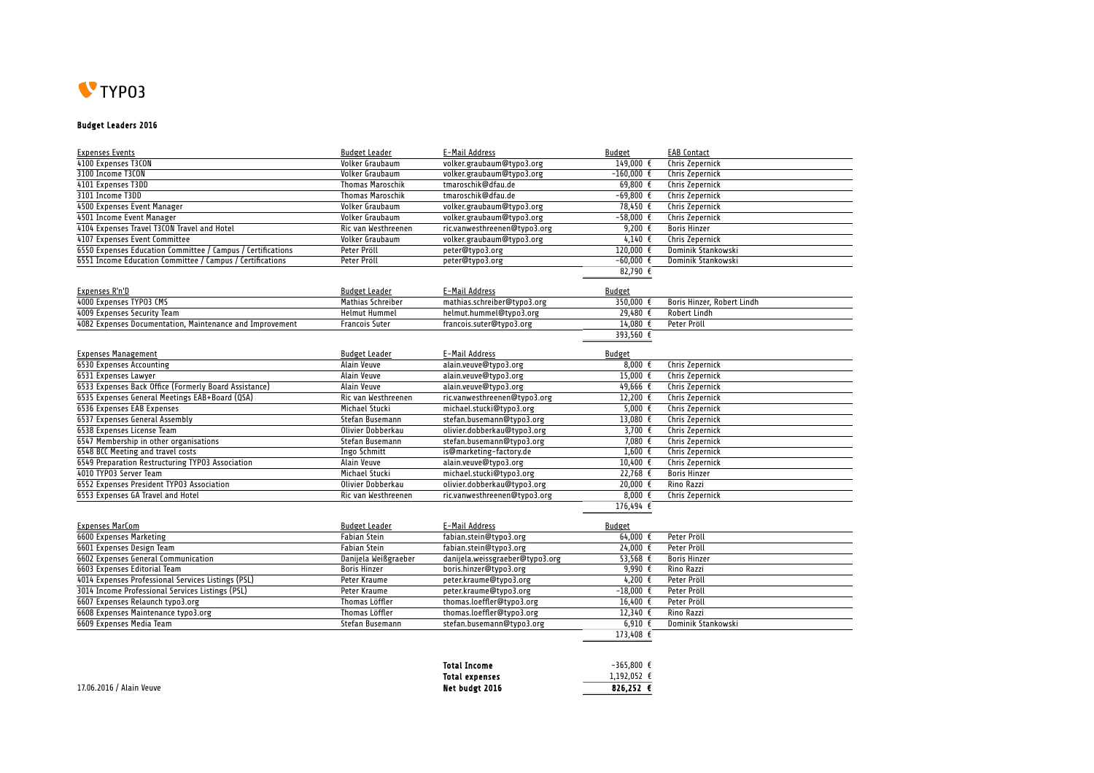

## Budget Leaders 2016

| <b>Expenses Events</b>                                      | <b>Budget Leader</b>    | E-Mail Address                  | <b>Budget</b>        | <b>EAB Contact</b>         |
|-------------------------------------------------------------|-------------------------|---------------------------------|----------------------|----------------------------|
| 4100 Expenses T3CON                                         | Volker Graubaum         | volker.graubaum@typo3.org       | 149,000 €            | Chris Zepernick            |
| 3100 Income T3CON                                           | Volker Graubaum         | volker.graubaum@typo3.org       | $-160.000$ €         | Chris Zepernick            |
| 4101 Expenses T3DD                                          | <b>Thomas Maroschik</b> | tmaroschik@dfau.de              | 69.800 $\epsilon$    | <b>Chris Zepernick</b>     |
| 3101 Income T3DD                                            | <b>Thomas Maroschik</b> | tmaroschik@dfau.de              | $-69,800$ €          | Chris Zepernick            |
| 4500 Expenses Event Manager                                 | Volker Graubaum         | volker.graubaum@typo3.org       | 78,450 €             | Chris Zepernick            |
| 4501 Income Event Manager                                   | Volker Graubaum         | volker.graubaum@typo3.org       | $-58.000 E$          | <b>Chris Zepernick</b>     |
| 4104 Expenses Travel T3CON Travel and Hotel                 | Ric van Westhreenen     | ric.vanwesthreenen@typo3.org    | 9,200 $\epsilon$     | <b>Boris Hinzer</b>        |
| 4107 Expenses Event Committee                               | Volker Graubaum         | volker.graubaum@typo3.org       | 4,140 $\epsilon$     | <b>Chris Zepernick</b>     |
| 6550 Expenses Education Committee / Campus / Certifications | Peter Pröll             | peter@typo3.org                 | 120,000 €            | Dominik Stankowski         |
| 6551 Income Education Committee / Campus / Certifications   | Peter Pröll             | peter@typo3.org                 | $-60.000 \text{ E}$  | Dominik Stankowski         |
|                                                             |                         |                                 | 82,790 $\epsilon$    |                            |
|                                                             |                         |                                 |                      |                            |
| Expenses R'n'D                                              | <b>Budget Leader</b>    | E-Mail Address                  | <b>Budget</b>        |                            |
| 4000 Expenses TYP03 CMS                                     | Mathias Schreiber       | mathias.schreiber@typo3.org     | 350,000 $\epsilon$   | Boris Hinzer, Robert Lindh |
| 4009 Expenses Security Team                                 | <b>Helmut Hummel</b>    | helmut.hummel@typo3.org         | 29,480 $\epsilon$    | <b>Robert Lindh</b>        |
| 4082 Expenses Documentation, Maintenance and Improvement    | <b>Francois Suter</b>   | francois.suter@typo3.org        | 14,080 €             | Peter Pröll                |
|                                                             |                         |                                 | 393,560 €            |                            |
|                                                             |                         |                                 |                      |                            |
| <b>Expenses Management</b>                                  | <b>Budget Leader</b>    | E-Mail Address                  | <b>Budget</b>        |                            |
| 6530 Expenses Accounting                                    | Alain Veuve             | alain.veuve@typo3.org           | 8,000 $\epsilon$     | Chris Zepernick            |
| 6531 Expenses Lawyer                                        | Alain Veuve             | alain.veuve@typo3.org           | 15,000 €             | Chris Zepernick            |
| 6533 Expenses Back Office (Formerly Board Assistance)       | Alain Veuve             | alain.veuve@typo3.org           | 49.666 $\epsilon$    | Chris Zepernick            |
| 6535 Expenses General Meetings EAB+Board (QSA)              | Ric van Westhreenen     | ric.vanwesthreenen@typo3.org    | 12,200 €             | Chris Zepernick            |
| 6536 Expenses EAB Expenses                                  | Michael Stucki          | michael.stucki@typo3.org        | 5,000 $\epsilon$     | Chris Zepernick            |
| 6537 Expenses General Assembly                              | Stefan Busemann         | stefan.busemann@typo3.org       | 13,080 $\epsilon$    | Chris Zepernick            |
| 6538 Expenses License Team                                  | Olivier Dobberkau       | olivier.dobberkau@typo3.org     | 3,700 $\overline{t}$ | Chris Zepernick            |
| 6547 Membership in other organisations                      | Stefan Busemann         | stefan.busemann@typo3.org       | 7,080 $\epsilon$     | Chris Zepernick            |
| 6548 BCC Meeting and travel costs                           | Ingo Schmitt            | is@marketing-factory.de         | 1.600 $\epsilon$     | <b>Chris Zepernick</b>     |
| 6549 Preparation Restructuring TYP03 Association            | Alain Veuve             | alain.veuve@typo3.org           | 10,400 $\epsilon$    | Chris Zepernick            |
| 4010 TYP03 Server Team                                      | <b>Michael Stucki</b>   | michael.stucki@typo3.org        | $22,768$ €           | <b>Boris Hinzer</b>        |
| 6552 Expenses President TYP03 Association                   | Olivier Dobberkau       | olivier.dobberkau@typo3.org     | 20,000 €             | Rino Razzi                 |
| 6553 Expenses GA Travel and Hotel                           | Ric van Westhreenen     | ric.vanwesthreenen@typo3.org    | 8.000 $\epsilon$     | Chris Zepernick            |
|                                                             |                         |                                 | 176,494 $\epsilon$   |                            |
|                                                             |                         |                                 |                      |                            |
| <b>Expenses MarCom</b>                                      | <b>Budget Leader</b>    | E-Mail Address                  | <b>Budget</b>        |                            |
| 6600 Expenses Marketing                                     | <b>Fabian Stein</b>     | fabian.stein@typo3.org          | $64,000$ €           | Peter Pröll                |
| 6601 Expenses Design Team                                   | <b>Fabian Stein</b>     | fabian.stein@typo3.org          | $24,000$ €           | Peter Pröll                |
| 6602 Expenses General Communication                         | Danijela Weißgraeber    | danijela.weissgraeber@typo3.org | 53.568 $\epsilon$    | <b>Boris Hinzer</b>        |
| 6603 Expenses Editorial Team                                | <b>Boris Hinzer</b>     | boris.hinzer@typo3.org          | 9,990 $E$            | Rino Razzi                 |
| 4014 Expenses Professional Services Listings (PSL)          | Peter Kraume            | peter.kraume@typo3.org          | 4,200 $\epsilon$     | Peter Pröll                |
| 3014 Income Professional Services Listings (PSL)            | Peter Kraume            | peter.kraume@typo3.org          | $-18,000 \in$        | Peter Pröll                |
| 6607 Expenses Relaunch typo3.org                            | <b>Thomas Löffler</b>   | thomas.loeffler@typo3.org       | 16,400 $\epsilon$    | Peter Pröll                |
| 6608 Expenses Maintenance typo3.org                         | <b>Thomas Löffler</b>   | thomas.loeffler@typo3.org       | 12,340 $\epsilon$    | <b>Rino Razzi</b>          |
| 6609 Expenses Media Team                                    | Stefan Busemann         | stefan.busemann@tvpo3.org       | 6.910 $\xi$          | Dominik Stankowski         |
|                                                             |                         |                                 | 173,408 €            |                            |
|                                                             |                         |                                 |                      |                            |

|                          | <b>Total Income</b>   | $-365.800$ $\epsilon$ |
|--------------------------|-----------------------|-----------------------|
|                          | <b>Total expenses</b> | $1.192.052$ €         |
| 17.06.2016 / Alain Veuve | Net budgt 2016        | 826.252 $\epsilon$    |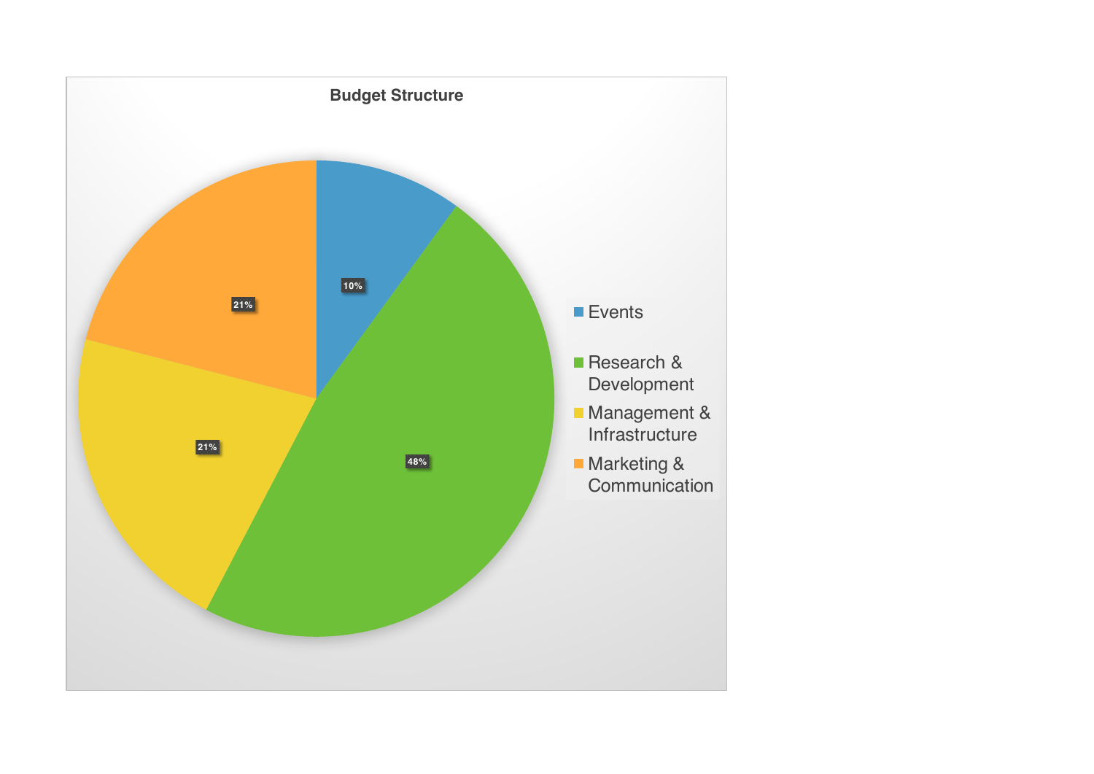